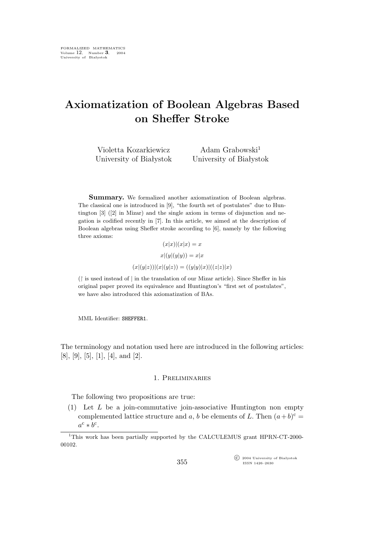# **Axiomatization of Boolean Algebras Based on Sheffer Stroke**

Violetta Kozarkiewicz University of Białystok Adam Grabowski $^1$ University of Białystok

**Summary.** We formalized another axiomatization of Boolean algebras. The classical one is introduced in [9], "the fourth set of postulates" due to Huntington [3] ([2] in Mizar) and the single axiom in terms of disjunction and negation is codified recently in [7]. In this article, we aimed at the description of Boolean algebras using Sheffer stroke according to [6], namely by the following three axioms:

$$
(x|x)|(x|x) = x
$$

$$
x|(y|(y|y)) = x|x
$$

$$
(x|(y|z))|(x|(y|z)) = ((y|y)|x)|((z|z)|x)
$$

(↾ is used instead of *|* in the translation of our Mizar article). Since Sheffer in his original paper proved its equivalence and Huntington's "first set of postulates", we have also introduced this axiomatization of BAs.

MML Identifier: SHEFFER1.

The terminology and notation used here are introduced in the following articles: [8], [9], [5], [1], [4], and [2].

## 1. Preliminaries

The following two propositions are true:

(1) Let  $L$  be a join-commutative join-associative Huntington non empty complemented lattice structure and a, b be elements of L. Then  $(a+b)^c =$  $a^{\rm c} * b^{\rm c}$ .

°c 2004 University of Białystok ISSN 1426–2630

<sup>1</sup>This work has been partially supported by the CALCULEMUS grant HPRN-CT-2000- 00102.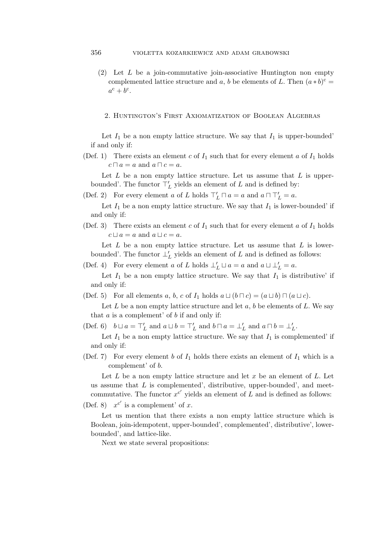- (2) Let L be a join-commutative join-associative Huntington non empty complemented lattice structure and a, b be elements of L. Then  $(a * b)^c$  =  $a^{\rm c} + b^{\rm c}$ .
	- 2. Huntington's First Axiomatization of Boolean Algebras

Let  $I_1$  be a non empty lattice structure. We say that  $I_1$  is upper-bounded' if and only if:

(Def. 1) There exists an element c of  $I_1$  such that for every element a of  $I_1$  holds  $c \sqcap a = a$  and  $a \sqcap c = a$ .

Let  $L$  be a non empty lattice structure. Let us assume that  $L$  is upperbounded'. The functor  $\overline{\top}'_L$  yields an element of L and is defined by:

(Def. 2) For every element a of L holds  $\top'_{L} \sqcap a = a$  and  $a \sqcap \top'_{L} = a$ .

Let  $I_1$  be a non empty lattice structure. We say that  $I_1$  is lower-bounded' if and only if:

(Def. 3) There exists an element c of  $I_1$  such that for every element a of  $I_1$  holds  $c \sqcup a = a$  and  $a \sqcup c = a$ .

Let  $L$  be a non empty lattice structure. Let us assume that  $L$  is lowerbounded'. The functor  $\perp_L'$  yields an element of L and is defined as follows:

(Def. 4) For every element a of L holds  $\perp'_{L} \sqcup a = a$  and  $a \sqcup \perp'_{L} = a$ .

Let  $I_1$  be a non empty lattice structure. We say that  $I_1$  is distributive' if and only if:

(Def. 5) For all elements a, b, c of  $I_1$  holds  $a \sqcup (b \sqcap c) = (a \sqcup b) \sqcap (a \sqcup c)$ .

Let L be a non empty lattice structure and let  $a, b$  be elements of L. We say that  $a$  is a complement' of  $b$  if and only if:

(Def. 6)  $b \sqcup a = \top'_{L}$  and  $a \sqcup b = \top'_{L}$  and  $b \sqcap a = \bot'_{L}$  and  $a \sqcap b = \bot'_{L}$ .

Let  $I_1$  be a non empty lattice structure. We say that  $I_1$  is complemented' if and only if:

(Def. 7) For every element b of  $I_1$  holds there exists an element of  $I_1$  which is a complement' of b.

Let  $L$  be a non empty lattice structure and let  $x$  be an element of  $L$ . Let us assume that  $L$  is complemented', distributive, upper-bounded', and meetcommutative. The functor  $x^{c'}$  yields an element of  $\overline{L}$  and is defined as follows:

(Def. 8)  $x^{c'}$  is a complement' of x.

Let us mention that there exists a non empty lattice structure which is Boolean, join-idempotent, upper-bounded', complemented', distributive', lowerbounded', and lattice-like.

Next we state several propositions: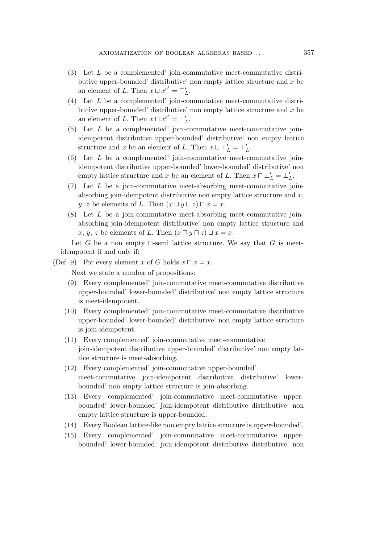- $(3)$  Let L be a complemented' join-commutative meet-commutative distributive upper-bounded' distributive' non empty lattice structure and  $x$  be an element of L. Then  $x \sqcup x^{c'} = \top'_{L}$ .
- (4) Let L be a complemented' join-commutative meet-commutative distributive upper-bounded' distributive' non empty lattice structure and  $x$  be an element of L. Then  $x \sqcap x^{c'} = \bot'_L$ .
- (5) Let L be a complemented' join-commutative meet-commutative joinidempotent distributive upper-bounded' distributive' non empty lattice structure and x be an element of L. Then  $x \sqcup \top'_{L} = \top'_{L}$ .
- $(6)$  Let L be a complemented' join-commutative meet-commutative joinidempotent distributive upper-bounded' lower-bounded' distributive' non empty lattice structure and x be an element of L. Then  $x \sqcap \perp'_{L} = \perp'_{L}$ .
- (7) Let L be a join-commutative meet-absorbing meet-commutative joinabsorbing join-idempotent distributive non empty lattice structure and  $x$ , y, z be elements of L. Then  $(x \sqcup y \sqcup z) \sqcap x = x$ .
- (8) Let L be a join-commutative meet-absorbing meet-commutative joinabsorbing join-idempotent distributive' non empty lattice structure and  $x, y, z$  be elements of *L*. Then  $(x \sqcap y \sqcap z) \sqcup x = x$ .

Let G be a non empty  $\Box$ -semi lattice structure. We say that G is meetidempotent if and only if:

(Def. 9) For every element x of G holds  $x \sqcap x = x$ .

Next we state a number of propositions:

- (9) Every complemented' join-commutative meet-commutative distributive upper-bounded' lower-bounded' distributive' non empty lattice structure is meet-idempotent.
- (10) Every complemented' join-commutative meet-commutative distributive upper-bounded' lower-bounded' distributive' non empty lattice structure is join-idempotent.
- (11) Every complemented' join-commutative meet-commutative join-idempotent distributive upper-bounded' distributive' non empty lattice structure is meet-absorbing.
- (12) Every complemented' join-commutative upper-bounded' meet-commutative join-idempotent distributive distributive' lowerbounded' non empty lattice structure is join-absorbing.
- (13) Every complemented' join-commutative meet-commutative upperbounded' lower-bounded' join-idempotent distributive distributive' non empty lattice structure is upper-bounded.
- (14) Every Boolean lattice-like non empty lattice structure is upper-bounded'.
- (15) Every complemented' join-commutative meet-commutative upperbounded' lower-bounded' join-idempotent distributive distributive' non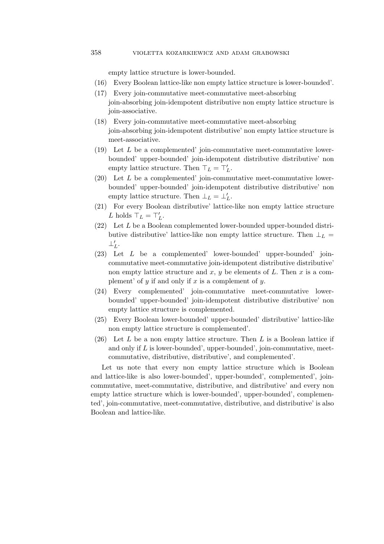# 358 violetta kozarkiewicz and adam grabowski

empty lattice structure is lower-bounded.

- (16) Every Boolean lattice-like non empty lattice structure is lower-bounded'.
- (17) Every join-commutative meet-commutative meet-absorbing join-absorbing join-idempotent distributive non empty lattice structure is join-associative.
- (18) Every join-commutative meet-commutative meet-absorbing join-absorbing join-idempotent distributive' non empty lattice structure is meet-associative.
- $(19)$  Let L be a complemented' join-commutative meet-commutative lowerbounded' upper-bounded' join-idempotent distributive distributive' non empty lattice structure. Then  $\top_L = \top'_L$ .
- $(20)$  Let L be a complemented' join-commutative meet-commutative lowerbounded' upper-bounded' join-idempotent distributive distributive' non empty lattice structure. Then  $\perp_L = \perp'_L$ .
- (21) For every Boolean distributive' lattice-like non empty lattice structure L holds  $\top_L = \top'_L$ .
- (22) Let L be a Boolean complemented lower-bounded upper-bounded distributive distributive' lattice-like non empty lattice structure. Then  $\perp_L$  = *⊥′* L .
- (23) Let L be a complemented' lower-bounded' upper-bounded' joincommutative meet-commutative join-idempotent distributive distributive' non empty lattice structure and  $x, y$  be elements of  $L$ . Then  $x$  is a complement' of  $y$  if and only if  $x$  is a complement of  $y$ .
- (24) Every complemented' join-commutative meet-commutative lowerbounded' upper-bounded' join-idempotent distributive distributive' non empty lattice structure is complemented.
- (25) Every Boolean lower-bounded' upper-bounded' distributive' lattice-like non empty lattice structure is complemented'.
- (26) Let  $L$  be a non empty lattice structure. Then  $L$  is a Boolean lattice if and only if  $L$  is lower-bounded', upper-bounded', join-commutative, meetcommutative, distributive, distributive', and complemented'.

Let us note that every non empty lattice structure which is Boolean and lattice-like is also lower-bounded', upper-bounded', complemented', joincommutative, meet-commutative, distributive, and distributive' and every non empty lattice structure which is lower-bounded', upper-bounded', complemented', join-commutative, meet-commutative, distributive, and distributive' is also Boolean and lattice-like.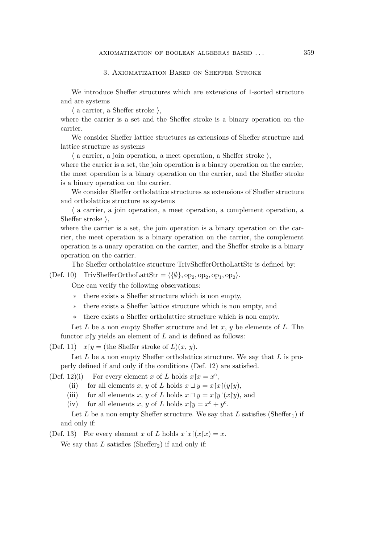### 3. Axiomatization Based on Sheffer Stroke

We introduce Sheffer structures which are extensions of 1-sorted structure and are systems

 $\langle$  a carrier, a Sheffer stroke  $\rangle$ ,

where the carrier is a set and the Sheffer stroke is a binary operation on the carrier.

We consider Sheffer lattice structures as extensions of Sheffer structure and lattice structure as systems

 $\langle$  a carrier, a join operation, a meet operation, a Sheffer stroke  $\rangle$ ,

where the carrier is a set, the join operation is a binary operation on the carrier, the meet operation is a binary operation on the carrier, and the Sheffer stroke is a binary operation on the carrier.

We consider Sheffer ortholattice structures as extensions of Sheffer structure and ortholattice structure as systems

 $\langle$  a carrier, a join operation, a meet operation, a complement operation, a Sheffer stroke  $\lambda$ ,

where the carrier is a set, the join operation is a binary operation on the carrier, the meet operation is a binary operation on the carrier, the complement operation is a unary operation on the carrier, and the Sheffer stroke is a binary operation on the carrier.

The Sheffer ortholattice structure TrivShefferOrthoLattStr is defined by:

 $(\text{Def. 10})$  TrivShefferOrthoLattStr =  $\langle \{\emptyset\}, \text{op}_2, \text{op}_2, \text{op}_1, \text{op}_2 \rangle$ .

One can verify the following observations:

*∗* there exists a Sheffer structure which is non empty,

*∗* there exists a Sheffer lattice structure which is non empty, and

*∗* there exists a Sheffer ortholattice structure which is non empty.

Let L be a non empty Sheffer structure and let  $x, y$  be elements of L. The functor  $x \upharpoonright y$  yields an element of L and is defined as follows:

(Def. 11)  $x \upharpoonright y =$  (the Sheffer stroke of  $L(x, y)$ .

Let  $L$  be a non empty Sheffer ortholattice structure. We say that  $L$  is properly defined if and only if the conditions (Def. 12) are satisfied.

(Def. 12)(i) For every element x of L holds  $x \upharpoonright x = x^c$ ,

(ii) for all elements x, y of L holds  $x \sqcup y = x \upharpoonright x \upharpoonright (y \upharpoonright y)$ ,

(iii) for all elements x, y of L holds  $x \sqcap y = x \upharpoonright y \upharpoonright (x \upharpoonright y)$ , and

(iv) for all elements x, y of L holds  $x \upharpoonright y = x^c + y^c$ .

Let L be a non empty Sheffer structure. We say that L satisfies (Sheffer<sub>1</sub>) if and only if:

(Def. 13) For every element x of L holds  $x \upharpoonright x \upharpoonright (x \upharpoonright x) = x$ .

We say that  $L$  satisfies (Sheffer<sub>2</sub>) if and only if: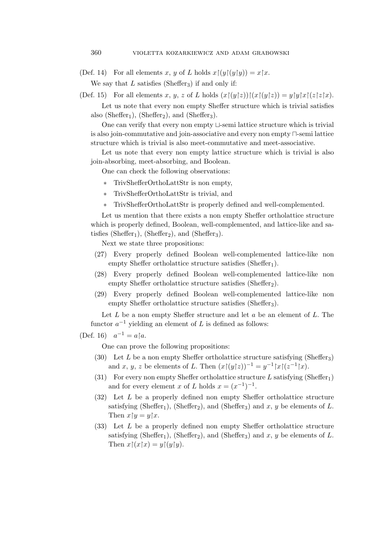(Def. 14) For all elements x, y of L holds  $x \upharpoonright (y \upharpoonright (y \upharpoonright y)) = x \upharpoonright x$ .

We say that  $L$  satisfies (Sheffer<sub>3</sub>) if and only if:

(Def. 15) For all elements x, y, z of L holds  $(x \upharpoonright (y \upharpoonright z)) \upharpoonright (x \upharpoonright (y \upharpoonright z)) = y \upharpoonright y \upharpoonright x \upharpoonright (z \upharpoonright z \upharpoonright x).$ 

Let us note that every non empty Sheffer structure which is trivial satisfies also (Sheffer<sub>1</sub>), (Sheffer<sub>2</sub>), and (Sheffer<sub>3</sub>).

One can verify that every non empty *⊔*-semi lattice structure which is trivial is also join-commutative and join-associative and every non empty *⊓*-semi lattice structure which is trivial is also meet-commutative and meet-associative.

Let us note that every non empty lattice structure which is trivial is also join-absorbing, meet-absorbing, and Boolean.

One can check the following observations:

- *∗* TrivShefferOrthoLattStr is non empty,
- *∗* TrivShefferOrthoLattStr is trivial, and
- *∗* TrivShefferOrthoLattStr is properly defined and well-complemented.

Let us mention that there exists a non empty Sheffer ortholattice structure which is properly defined, Boolean, well-complemented, and lattice-like and satisfies (Sheffer<sub>1</sub>), (Sheffer<sub>2</sub>), and (Sheffer<sub>3</sub>).

Next we state three propositions:

- (27) Every properly defined Boolean well-complemented lattice-like non empty Sheffer ortholattice structure satisfies (Sheffer<sub>1</sub>).
- (28) Every properly defined Boolean well-complemented lattice-like non empty Sheffer ortholattice structure satisfies (Sheffer<sub>2</sub>).
- (29) Every properly defined Boolean well-complemented lattice-like non empty Sheffer ortholattice structure satisfies (Sheffer<sub>3</sub>).

Let  $L$  be a non empty Sheffer structure and let  $a$  be an element of  $L$ . The functor  $a^{-1}$  yielding an element of L is defined as follows:

(Def. 16)  $a^{-1} = a \upharpoonright a$ .

One can prove the following propositions:

- (30) Let L be a non empty Sheffer ortholattice structure satisfying (Sheffer<sub>3</sub>) and x, y, z be elements of L. Then  $(x \upharpoonright (y \upharpoonright z))^{-1} = y^{-1} \upharpoonright x \upharpoonright (z^{-1} \upharpoonright x)$ .
- (31) For every non empty Sheffer ortholattice structure  $L$  satisfying (Sheffer<sub>1</sub>) and for every element x of L holds  $x = (x^{-1})^{-1}$ .
- (32) Let L be a properly defined non empty Sheffer ortholattice structure satisfying (Sheffer<sub>1</sub>), (Sheffer<sub>2</sub>), and (Sheffer<sub>3</sub>) and x, y be elements of L. Then  $x \upharpoonright y = y \upharpoonright x$ .
- (33) Let L be a properly defined non empty Sheffer ortholattice structure satisfying (Sheffer<sub>1</sub>), (Sheffer<sub>2</sub>), and (Sheffer<sub>3</sub>) and x, y be elements of L. Then  $x \upharpoonright (x \upharpoonright x) = y \upharpoonright (y \upharpoonright y)$ .